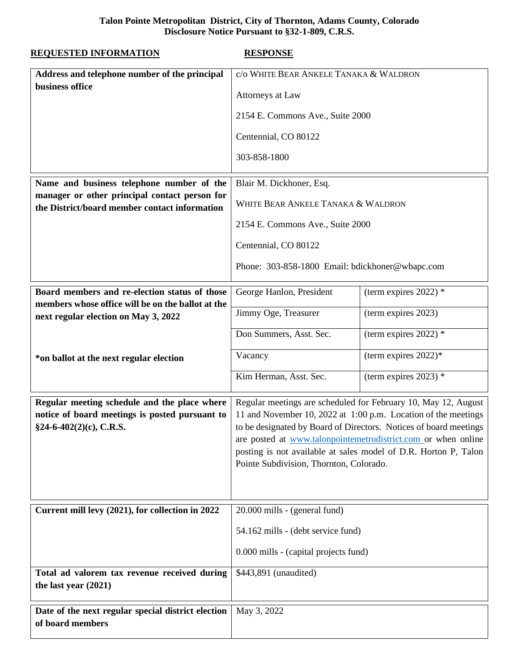## **Talon Pointe Metropolitan District, City of Thornton, Adams County, Colorado Disclosure Notice Pursuant to §32-1-809, C.R.S.**

| <b>REQUESTED INFORMATION</b>                                                                                                                | <b>RESPONSE</b>                                                                                                                                                                                                                                                                                                                                                                      |                         |
|---------------------------------------------------------------------------------------------------------------------------------------------|--------------------------------------------------------------------------------------------------------------------------------------------------------------------------------------------------------------------------------------------------------------------------------------------------------------------------------------------------------------------------------------|-------------------------|
| Address and telephone number of the principal                                                                                               | c/o WHITE BEAR ANKELE TANAKA & WALDRON                                                                                                                                                                                                                                                                                                                                               |                         |
| business office                                                                                                                             | Attorneys at Law                                                                                                                                                                                                                                                                                                                                                                     |                         |
|                                                                                                                                             | 2154 E. Commons Ave., Suite 2000                                                                                                                                                                                                                                                                                                                                                     |                         |
|                                                                                                                                             | Centennial, CO 80122                                                                                                                                                                                                                                                                                                                                                                 |                         |
|                                                                                                                                             | 303-858-1800                                                                                                                                                                                                                                                                                                                                                                         |                         |
| Name and business telephone number of the<br>manager or other principal contact person for<br>the District/board member contact information | Blair M. Dickhoner, Esq.                                                                                                                                                                                                                                                                                                                                                             |                         |
|                                                                                                                                             | WHITE BEAR ANKELE TANAKA & WALDRON                                                                                                                                                                                                                                                                                                                                                   |                         |
|                                                                                                                                             | 2154 E. Commons Ave., Suite 2000                                                                                                                                                                                                                                                                                                                                                     |                         |
|                                                                                                                                             | Centennial, CO 80122                                                                                                                                                                                                                                                                                                                                                                 |                         |
|                                                                                                                                             | Phone: 303-858-1800 Email: bdickhoner@wbapc.com                                                                                                                                                                                                                                                                                                                                      |                         |
| Board members and re-election status of those<br>members whose office will be on the ballot at the                                          | George Hanlon, President                                                                                                                                                                                                                                                                                                                                                             | (term expires 2022) $*$ |
| next regular election on May 3, 2022                                                                                                        | Jimmy Oge, Treasurer                                                                                                                                                                                                                                                                                                                                                                 | (term expires 2023)     |
|                                                                                                                                             | Don Summers, Asst. Sec.                                                                                                                                                                                                                                                                                                                                                              | (term expires 2022) $*$ |
| *on ballot at the next regular election                                                                                                     | Vacancy                                                                                                                                                                                                                                                                                                                                                                              | (term expires $2022$ )* |
|                                                                                                                                             | Kim Herman, Asst. Sec.                                                                                                                                                                                                                                                                                                                                                               | (term expires 2023) $*$ |
| Regular meeting schedule and the place where<br>notice of board meetings is posted pursuant to<br>§24-6-402(2)(c), C.R.S.                   | Regular meetings are scheduled for February 10, May 12, August<br>11 and November 10, 2022 at 1:00 p.m. Location of the meetings<br>to be designated by Board of Directors. Notices of board meetings<br>are posted at www.talonpointemetrodistrict.com or when online<br>posting is not available at sales model of D.R. Horton P, Talon<br>Pointe Subdivision, Thornton, Colorado. |                         |
| Current mill levy (2021), for collection in 2022                                                                                            | 20.000 mills - (general fund)<br>54.162 mills - (debt service fund)<br>0.000 mills - (capital projects fund)                                                                                                                                                                                                                                                                         |                         |
|                                                                                                                                             |                                                                                                                                                                                                                                                                                                                                                                                      |                         |
|                                                                                                                                             |                                                                                                                                                                                                                                                                                                                                                                                      |                         |
| Total ad valorem tax revenue received during<br>the last year (2021)                                                                        | \$443,891 (unaudited)                                                                                                                                                                                                                                                                                                                                                                |                         |
| Date of the next regular special district election<br>of board members                                                                      | May 3, 2022                                                                                                                                                                                                                                                                                                                                                                          |                         |